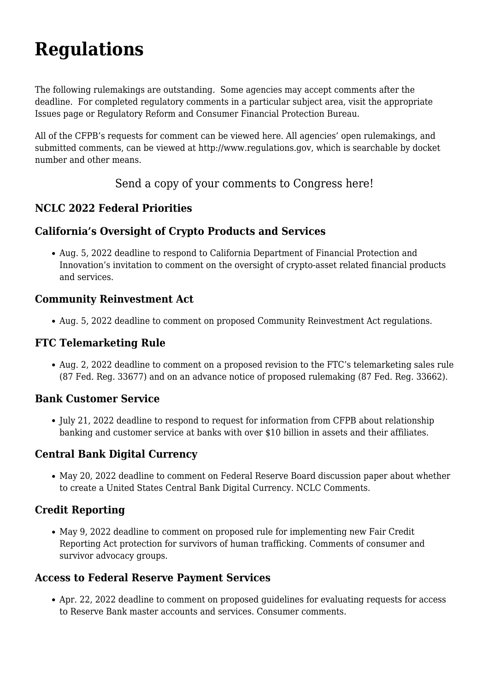# **[Regulations](https://www.nclc.org/legislation-regulation/legislation-a-regulation/rulemakings.html)**

The following rulemakings are outstanding. Some agencies may accept comments after the deadline. For completed regulatory comments in a particular subject area, visit the appropriate [Issues](https://www.nclc.org/issues/issues.html) page or [Regulatory Reform and Consumer Financial Protection Bureau.](https://www.nclc.org/issues/regulatory-reform.html)

All of the CFPB's requests for comment can be viewed [here](http://www.consumerfinance.gov/notice-and-comment). All agencies' open rulemakings, and submitted comments, can be viewed at [http://www.regulations.gov,](http://www.regulations.gov) which is searchable by docket number and other means.

[Send a copy of your comments to Congress here!](https://www.nclc.org/?p=5935)

## **[NCLC 2022 Federal Priorities](https://www.nclc.org/issues/nclc-2022-federal-priorities-2.html)**

## **California's Oversight of Crypto Products and Services**

Aug. 5, 2022 deadline to respond to California Department of Financial Protection and Innovation's [invitation to comment](https://dfpi.ca.gov/wp-content/uploads/sites/337/2022/06/DFPI-crypto-invitation-for-comment-5-31-22.pdf) on the oversight of crypto-asset related financial products and services.

#### **Community Reinvestment Act**

Aug. 5, 2022 deadline to comment on [proposed](https://www.fdic.gov/news/board-matters/2022/2022-05-05-notice-dis-a-fr.pdf?source=govdelivery&utm_medium=email&utm_source=govdelivery) Community Reinvestment Act regulations.

## **FTC Telemarketing Rule**

Aug. 2, 2022 deadline to comment on a [proposed revision](https://www.federalregister.gov/documents/2022/06/03/2022-09914/telemarketing-sales-rule) to the FTC's telemarketing sales rule (87 Fed. Reg. 33677) and on an advance notice of [proposed rulemaking](https://www.federalregister.gov/documents/2022/06/03/2022-10922/telemarketing-sales-rule) (87 Fed. Reg. 33662).

#### **Bank Customer Service**

• July 21, 2022 deadline to respond to [request for information](https://www.consumerfinance.gov/about-us/newsroom/cfpb-launches-initiative-to-improve-customer-service-at-big-banks/#:~:text=Read%20Director%20Chopra) from CFPB about relationship banking and customer service at banks with over \$10 billion in assets and their affiliates.

## **Central Bank Digital Currency**

May 20, 2022 deadline to comment on Federal Reserve Board [discussion paper](https://www.federalreserve.gov/central-bank-digital-currency.htm) about whether to create a United States Central Bank Digital Currency. [NCLC Comments.](https://bit.ly/CBDC-comment)

## **Credit Reporting**

May 9, 2022 deadline to comment on [proposed rule](https://www.consumerfinance.gov/rules-policy/notice-opportunities-comment/open-notices/prohibition-on-inclusion-of-adverse-information-in-consumer-reporting-in-cases-of-human-trafficking-regulation-v/) for implementing new Fair Credit Reporting Act protection for survivors of human trafficking. [Comments of consumer and](https://www.nclc.org/images/pdf/credit_reports/FCRA_trafficking_comment.pdf) [survivor advocacy groups](https://www.nclc.org/images/pdf/credit_reports/FCRA_trafficking_comment.pdf).

#### **Access to Federal Reserve Payment Services**

Apr. 22, 2022 deadline to comment on [proposed guidelines](https://www.regulations.gov/document/FRS-2022-0059-0001) for evaluating requests for access to Reserve Bank master accounts and services. [Consumer comments.](https://bit.ly/3vFNquR)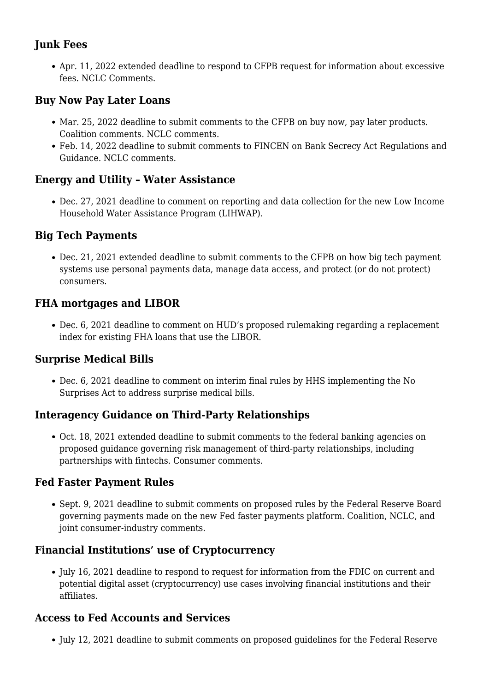# **Junk Fees**

Apr. 11, 2022 extended deadline to respond to CFPB [request for information](https://files.consumerfinance.gov/f/documents/cfpb_fees-imposed-by-providers-of-consumer-financial-products-services_rfi_2022-01.pdf) about excessive fees. [NCLC Comments](https://bit.ly/junk-fee-cmt).

#### **Buy Now Pay Later Loans**

- Mar. 25, 2022 deadline to submit comments to the CFPB on buy now, pay later products. [Coalition comments](https://bit.ly/BNPLcomments-short). [NCLC comments.](https://bit.ly/BNPLcomments-long)
- Feb. 14, 2022 deadline to submit comments to FINCEN on Bank Secrecy Act Regulations and Guidance. [NCLC comments.](https://www.nclc.org/images/pdf/banking_and_payment_systems/payment-fraud/FinCEN_AML_comments.pdf)

#### **Energy and Utility – Water Assistance**

Dec. 27, 2021 deadline to comment on [reporting and data collection](https://www.federalregister.gov/documents/2021/10/26/2021-23271/expedited-omb-review-and-public-comment-office-of-community-services-data-collection-for-the-low) for the new Low Income Household Water Assistance Program (LIHWAP).

#### **Big Tech Payments**

Dec. 21, 2021 extended deadline to [submit comments](https://www.federalregister.gov/documents/2021/11/05/2021-24176/notice-and-request-for-comment-regarding-the-cfpbs-inquiry-into-big-tech-payment-platforms) to the CFPB on how big tech payment systems use personal payments data, manage data access, and protect (or do not protect) consumers.

#### **FHA mortgages and LIBOR**

Dec. 6, 2021 deadline to [comment](https://www.federalregister.gov/d/2021-21512) on HUD's proposed rulemaking regarding a replacement index for existing FHA loans that use the LIBOR.

#### **Surprise Medical Bills**

Dec. 6, 2021 deadline to comment on [interim final rules](https://www.federalregister.gov/documents/2021/10/07/2021-21441/requirements-related-to-surprise-billing-part-ii) by HHS implementing the No Surprises Act to address surprise medical bills.

## **Interagency Guidance on Third-Party Relationships**

Oct. 18, 2021 [extended deadline](https://www.federalreserve.gov/newsevents/pressreleases/bcreg20210907a.htm) to submit comments to the federal banking agencies on [proposed guidance](https://www.govinfo.gov/content/pkg/FR-2021-07-19/pdf/2021-15308.pdf) governing risk management of third-party relationships, including partnerships with fintechs. [Consumer comments](https://www.nclc.org/images/pdf/high_cost_small_loans/3rd_party_guidance_group_comments.pdf).

#### **Fed Faster Payment Rules**

Sept. 9, 2021 deadline to submit comments on [proposed rules](https://www.govinfo.gov/content/pkg/FR-2021-06-11/pdf/2021-11759.pdf) by the Federal Reserve Board governing payments made on the new Fed faster payments platform. [Coalition](https://bit.ly/FedNowCoalitionComments), [NCLC,](https://bit.ly/FedNowNCLC-NCRC-NCL) and [joint consumer-industry comments](https://www.nclc.org/images/pdf/banking_and_payment_systems/fintech/Reg_J_Fed_Now_joint_comments.pdf).

## **Financial Institutions' use of Cryptocurrency**

• July 16, 2021 deadline to respond to [request for information](https://www.fdic.gov/news/press-releases/2021/pr21046a.pdf) from the FDIC on current and potential digital asset (cryptocurrency) use cases involving financial institutions and their affiliates.

#### **Access to Fed Accounts and Services**

• July 12, 2021 deadline to submit comments on proposed quidelines for the Federal Reserve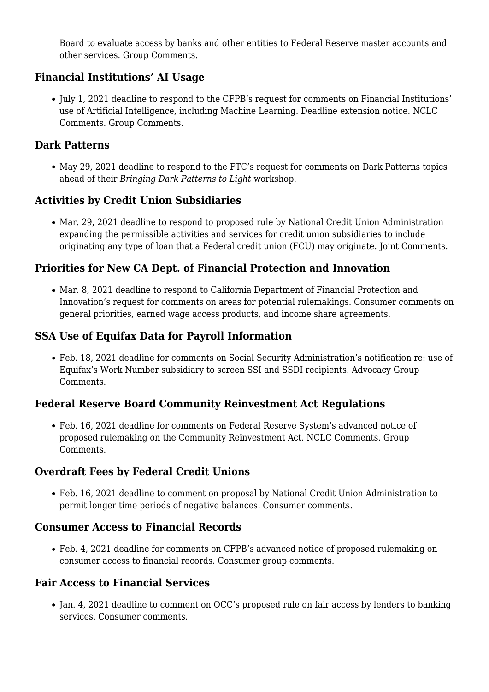Board to evaluate access by banks and other entities to Federal Reserve master accounts and other services. [Group Comments.](https://www.nclc.org/images/pdf/banking_and_payment_systems/Group_Comments_Fed_Reserve_Acct_Service.pdf)

## **Financial Institutions' AI Usage**

July 1, 2021 deadline to respond to the CFPB's [request for comments](https://www.regulations.gov/document/CFPB-2021-0004-0001) on Financial Institutions' use of Artificial Intelligence, including Machine Learning. [Deadline extension notice](https://files.consumerfinance.gov/f/documents/cfpb_ai-extend-comment_rfi_2021-05.pdf). [NCLC](https://www.nclc.org/images/pdf/credit_reports/comments_RFI_AI.pdf) [Comments](https://www.nclc.org/images/pdf/credit_reports/comments_RFI_AI.pdf). [Group Comments](https://www.nclc.org/images/pdf/credit_reports/group_AI_RFI_letter.pdf).

#### **Dark Patterns**

May 29, 2021 deadline to respond to the FTC's [request for comments](https://www.regulations.gov/document/FTC-2021-0019-0001) on Dark Patterns topics ahead of their *Bringing Dark Patterns to Light* workshop.

#### **Activities by Credit Union Subsidiaries**

Mar. 29, 2021 deadline to respond to [proposed rule](https://www.federalregister.gov/documents/2021/02/26/2021-01398/credit-union-service-organizations-cusos) by National Credit Union Administration expanding the permissible activities and services for credit union subsidiaries to include originating any type of loan that a Federal credit union (FCU) may originate. [Joint Comments](https://www.nclc.org/images/pdf/high_cost_small_loans/payday_loans/NCUA_CUSO_Comment.pdf).

#### **Priorities for New CA Dept. of Financial Protection and Innovation**

• Mar. 8, 2021 deadline to respond to California Department of Financial Protection and Innovation's [request for comments](https://dfpi.ca.gov/california-consumer-financial-protection-law/california-consumer-financial-protection-law-regulations-legislation-opinions-and-releases/) on areas for potential rulemakings. Consumer comments on [general priorities](https://www.nclc.org/images/pdf/high_cost_small_loans/payday_loans/CA_DFPI_Priorities_Comment.pdf), [earned wage access products,](https://www.nclc.org/images/pdf/high_cost_small_loans/payday_loans/CRL_CA_DFPI_EWA_Comments.pdf) and [income share agreements.](https://www.nclc.org/images/pdf/high_cost_small_loans/payday_loans/CA_DFPI_ISA_Commets.pdf)

#### **SSA Use of Equifax Data for Payroll Information**

Feb. 18, 2021 deadline for comments on [Social Security Administration's notification](https://www.federalregister.gov/documents/2021/01/19/2021-01026/use-of-electronic-payroll-data-to-improve-program-administration) re: use of Equifax's Work Number subsidiary to screen SSI and SSDI recipients. [Advocacy Group](https://www.nclc.org/images/pdf/credit_reports/Comments_Equifax_Data_Matching.pdf) [Comments](https://www.nclc.org/images/pdf/credit_reports/Comments_Equifax_Data_Matching.pdf).

#### **Federal Reserve Board Community Reinvestment Act Regulations**

Feb. 16, 2021 deadline for comments on [Federal Reserve System's advanced notice of](https://www.federalregister.gov/documents/2020/10/19/2020-21227/community-reinvestment-act) [proposed rulemaking](https://www.federalregister.gov/documents/2020/10/19/2020-21227/community-reinvestment-act) on the Community Reinvestment Act. [NCLC Comments.](https://www.nclc.org/images/pdf/rulemaking/Comments_CRA_ANPR.pdf) [Group](https://www.nclc.org/images/pdf/rulemaking/CRA_ANPR_Group_Comments.pdf) [Comments](https://www.nclc.org/images/pdf/rulemaking/CRA_ANPR_Group_Comments.pdf).

#### **Overdraft Fees by Federal Credit Unions**

Feb. 16, 2021 deadline to comment on [proposal by National Credit Union Administration](https://www.federalregister.gov/documents/2021/01/15/2020-28280/overdraft-policy) to permit longer time periods of negative balances. [Consumer comments](https://www.nclc.org/images/pdf/rulemaking/Consumer_Comment_NCUA_Proposed_Overdraft_Rule.pdf).

#### **Consumer Access to Financial Records**

Feb. 4, 2021 deadline for [comments](https://www.regulations.gov/document?D=CFPB-2020-0034-0001) on CFPB's advanced notice of proposed rulemaking on consumer access to financial records. [Consumer group comments](https://www.nclc.org/images/pdf/credit_reports/Comments_CFPB_1033_ANPR.pdf).

#### **Fair Access to Financial Services**

Jan. 4, 2021 deadline to comment on [OCC's proposed rule](https://www.federalregister.gov/documents/2020/11/25/2020-26067/fair-access-to-financial-services) on fair access by lenders to banking services. [Consumer comments.](https://www.nclc.org/images/pdf/high_cost_small_loans/payday_loans/OCC_bank_proposal_opposition.pdf)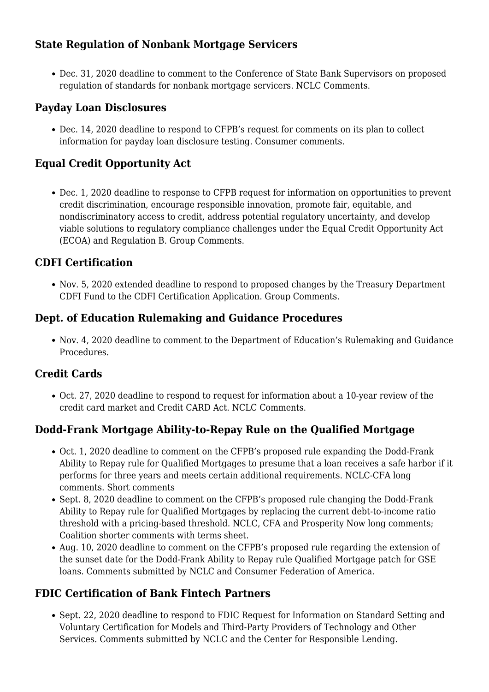# **State Regulation of Nonbank Mortgage Servicers**

Dec. 31, 2020 deadline to comment to the Conference of State Bank Supervisors on [proposed](https://www.csbs.org/system/files/2020-09/FinalProposedPrudentialStandardsForComment-2020_1.pdf?source=email) [regulation o](https://www.csbs.org/system/files/2020-09/FinalProposedPrudentialStandardsForComment-2020_1.pdf?source=email)f standards for nonbank mortgage servicers. [NCLC Comments.](https://www.nclc.org/images/pdf/rulemaking/CSBS_NCLC_Comments.pdf)

#### **Payday Loan Disclosures**

Dec. 14, 2020 deadline to respond to CFPB's request for comments on its [plan](https://beta.regulations.gov/document/CFPB-2020-0035-0001) to collect information for payday loan disclosure testing. [Consumer comments.](https://www.nclc.org/images/pdf/high_cost_small_loans/payday_loans/CFPB_Payday_Disclosure_Testing.pdf)

## **Equal Credit Opportunity Act**

Dec. 1, 2020 deadline to response to CFPB [request for information](https://www.federalregister.gov/documents/2020/08/03/2020-16722/request-for-information-on-the-equal-credit-opportunity-act-and-regulation-b#open-comment) on opportunities to prevent credit discrimination, encourage responsible innovation, promote fair, equitable, and nondiscriminatory access to credit, address potential regulatory uncertainty, and develop viable solutions to regulatory compliance challenges under the Equal Credit Opportunity Act (ECOA) and Regulation B. [Group Comments.](https://www.nclc.org/images/pdf/rulemaking/CFPB-ECOA-RFI-Comment-Letter.pdf)

#### **CDFI Certification**

Nov. 5, 2020 extended deadline to respond to [proposed changes](https://www.cdfifund.gov/programs-training/certification/cdfi/Pages/CertificationPRA.aspx) by the Treasury Department CDFI Fund to the CDFI Certification Application. [Group Comments](https://www.nclc.org/images/pdf/rulemaking/Comments_DFI_Certification.pdf).

#### **Dept. of Education Rulemaking and Guidance Procedures**

Nov. 4, 2020 deadline to comment to the Department of Education's [Rulemaking and Guidance](https://beta.regulations.gov/document/ED-2020-OGC-0150-0001) [Procedures.](https://beta.regulations.gov/document/ED-2020-OGC-0150-0001)

## **Credit Cards**

Oct. 27, 2020 deadline to respond to [request for information](https://www.regulations.gov/document?D=CFPB_FRDOC_0001-0831) about a 10-year review of the credit card market and Credit CARD Act. [NCLC Comments.](https://www.nclc.org/images/pdf/rulemaking/Comments_CFPB_RFA_RFI_CARD_Act.pdf)

## **Dodd-Frank Mortgage Ability-to-Repay Rule on the Qualified Mortgage**

- Oct. 1, 2020 deadline to comment on the CFPB's [proposed rule](https://www.consumerfinance.gov/policy-compliance/notice-opportunities-comment/open-notices/qualified-mortgage-definition-under-truth-lending-act-regulation-z-seasoned-qm-loan-definition/) expanding the Dodd-Frank Ability to Repay rule for Qualified Mortgages to presume that a loan receives a safe harbor if it performs for three years and meets certain additional requirements. [NCLC-CFA long](https://www.nclc.org/images/pdf/foreclosure_mortgage/dodd-frank/NCLC_CFA_Comments_CFPB_QM_Seasoning.pdf) [comments](https://www.nclc.org/images/pdf/foreclosure_mortgage/dodd-frank/NCLC_CFA_Comments_CFPB_QM_Seasoning.pdf). [Short comments](https://www.nclc.org/images/pdf/foreclosure_mortgage/dodd-frank/Short-Seasoning-Comments.pdf)
- Sept. 8, 2020 deadline to comment on the CFPB's [proposed rule](https://www.consumerfinance.gov/policy-compliance/notice-opportunities-comment/open-notices/qualified-mortgage-definition-under-truth-lending-act-general-qm-loan-definition/) changing the Dodd-Frank Ability to Repay rule for Qualified Mortgages by replacing the current debt-to-income ratio threshold with a pricing-based threshold. [NCLC, CFA and Prosperity Now long comments;](https://www.nclc.org/images/pdf/foreclosure_mortgage/dodd-frank/NCLC-Joint-Long-QM-Comments.pdf) [Coalition shorter comments with terms sheet.](https://www.nclc.org/images/pdf/foreclosure_mortgage/dodd-frank/Civil-Rights-Consumer-QM-Letter-and-Terms.pdf)
- Aug. 10, 2020 deadline to comment on the CFPB's [proposed rule](https://www.consumerfinance.gov/policy-compliance/notice-opportunities-comment/archive-closed/qualified-mortgage-definition-under-truth-lending-act-regulation-z-extension-sunset-date/) regarding the extension of the sunset date for the Dodd-Frank Ability to Repay rule Qualified Mortgage patch for GSE loans. [Comments](https://www.nclc.org/images/pdf/foreclosure_mortgage/dodd-frank/QM-Patch-Extension-Comments.pdf) submitted by NCLC and Consumer Federation of America.

## **FDIC Certification of Bank Fintech Partners**

• Sept. 22, 2020 deadline to respond to FDIC [Request for Information](https://www.federalregister.gov/documents/2020/07/24/2020-16058/request-for-information-on-standard-setting-and-voluntary-certification-for-models-and-third-party) on Standard Setting and Voluntary Certification for Models and Third-Party Providers of Technology and Other Services. [Comments](https://www.nclc.org/images/pdf/rulemaking/FDIC-SSO-comments-NCLC-CRL.pdf) submitted by NCLC and the Center for Responsible Lending.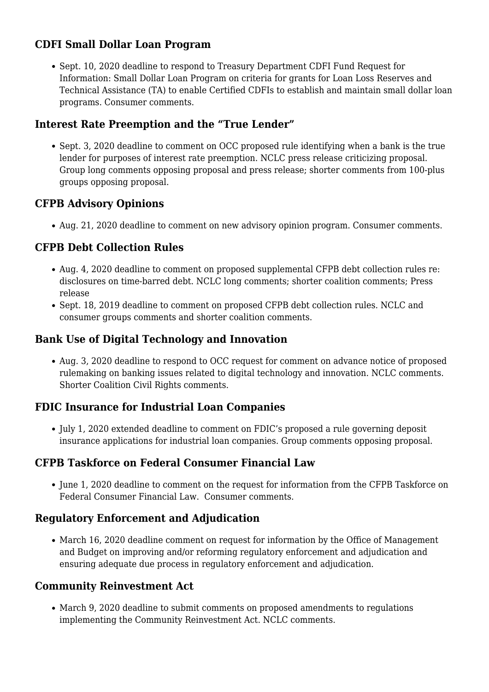## **CDFI Small Dollar Loan Program**

• Sept. 10, 2020 deadline to respond to Treasury Department CDFI Fund [Request for](https://www.federalregister.gov/documents/2020/07/27/2020-16213/small-dollar-loan-program) [Information:](https://www.federalregister.gov/documents/2020/07/27/2020-16213/small-dollar-loan-program) Small Dollar Loan Program on criteria for grants for Loan Loss Reserves and Technical Assistance (TA) to enable Certified CDFIs to establish and maintain small dollar loan programs. [Consumer comments](https://www.nclc.org/images/pdf/high_cost_small_loans/payday_loans/Comment-to-CDFI-Fund-on-Small-Dollar-Loan-Grant-RFI.pdf).

## **Interest Rate Preemption and the "True Lender"**

Sept. 3, 2020 deadline to comment on [OCC proposed rule](https://www.regulations.gov/document?D=OCC-2020-0026-0001) identifying when a bank is the true lender for purposes of interest rate preemption. [NCLC press release](https://www.nclc.org/media-center/occ-proposal-would-turn-state-interest-rate-limits-into-a-dead-letter-causing-explosion-of-rent-a-bank-payday-lending-that-will-devastate-struggling-families.html) criticizing proposal. [Group long comments](http://bit.ly/OCC-natl-banks-lenders) opposing proposal and [press release](https://www.nclc.org/media-center/consumer-civil-rights-advocates-to-occ-your-proposed-true-lender-rule-would-help-fraudulent-predatory-lenders-evade-state-interest-rate-laws-that-protect-families.html); [shorter comments](http://bit.ly/short-OCC-natl-banks-lenders) from 100-plus groups opposing proposal.

## **CFPB Advisory Opinions**

• Aug. 21, 2020 deadline to comment on new [advisory opinion program](https://www.regulations.gov/document?D=CFPB-2020-0019-0001). [Consumer comments.](https://www.nclc.org/images/pdf/regulatory_reform/advisory-opinion-cfpb-consumer-comments-2020.pdf)

## **CFPB Debt Collection Rules**

- Aug. 4, 2020 deadline to comment on [proposed supplemental CFPB debt collection rules re:](https://www.federalregister.gov/documents/2020/03/03/2020-03838/debt-collection-practices-regulation-f) [disclosures on time-barred debt.](https://www.federalregister.gov/documents/2020/03/03/2020-03838/debt-collection-practices-regulation-f) [NCLC long comments;](https://bit.ly/NCLC-supplemental-debt-comments) [shorter coalition comments](https://www.nclc.org/images/pdf/debt_collection/Time-Barred-Debt-Consumer-Coalition-Comments.pdf); [Press](https://www.nclc.org/media-center/cfpb-proposal-allows-abusive-zombie-debt-collection-to-continue.html) [release](https://www.nclc.org/media-center/cfpb-proposal-allows-abusive-zombie-debt-collection-to-continue.html)
- Sept. 18, 2019 deadline to comment on [proposed CFPB debt collection rules](https://www.regulations.gov/searchResults?rpp=25&po=0&s=CFPB%E2%80%932019%E2%80%930022&fp=true&ns=true). [NCLC and](http://bit.ly/com-debt-col) [consumer groups comments](http://bit.ly/com-debt-col) and [shorter coalition comments](http://bit.ly/short-debt-col-com).

## **Bank Use of Digital Technology and Innovation**

Aug. 3, 2020 deadline to respond to OCC [request for comment](https://www.occ.gov/news-issuances/news-releases/2020/nr-occ-2020-76.html) on advance notice of proposed rulemaking on banking issues related to digital technology and innovation. [NCLC comments](https://www.nclc.org/images/pdf/rulemaking/2020-OCC-fintech-NCLC-comments.pdf). [Shorter Coalition Civil Rights comments](https://www.nclc.org/images/pdf/rulemaking/OCC-ANPR-Group-Civil-Rights-Comment.pdf).

## **FDIC Insurance for Industrial Loan Companies**

• July 1, 2020 extended deadline to comment on FDIC's [proposed a rule](https://www.regulations.gov/document?D=FDIC-2020-0033-0001) governing deposit insurance applications for industrial loan companies. [Group comments](https://www.nclc.org/images/pdf/rulemaking/ILC_Comment_FDIC_July-2020.pdf) opposing proposal.

## **CFPB Taskforce on Federal Consumer Financial Law**

• June 1, 2020 deadline to comment on the [request for information](https://www.regulations.gov/docket?D=CFPB-2020-0013) from the CFPB Taskforce on Federal Consumer Financial Law. [Consumer comments.](https://bit.ly/ltr-CFPB-law-taskforce)

## **Regulatory Enforcement and Adjudication**

• March 16, 2020 deadline comment on [request for information](https://www.federalregister.gov/documents/2020/01/30/2020-01632/improving-and-reforming-regulatory-enforcement-and-adjudication) by the Office of Management and Budget on improving and/or reforming regulatory enforcement and adjudication and ensuring adequate due process in regulatory enforcement and adjudication.

## **Community Reinvestment Act**

March 9, 2020 deadline to submit comments on proposed amendments to regulations implementing the Community Reinvestment Act. [NCLC comments.](https://www.nclc.org/images/pdf/NCLC_CRA-Letter-1-28-20.pdf)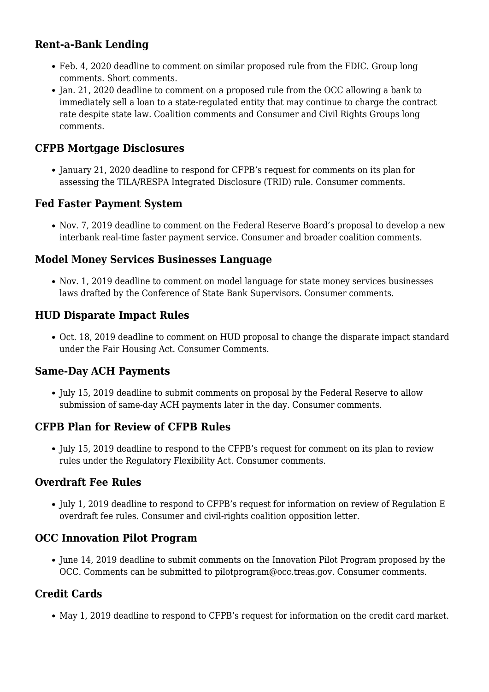## **Rent-a-Bank Lending**

- Feb. 4, 2020 deadline to comment on similar [proposed rule](https://www.regulations.gov/document?D=FDIC-2019-0147-0001) from the FDIC. [Group long](http://bit.ly/FDIC-RentaBank-comments) [comments.](http://bit.ly/FDIC-RentaBank-comments) [Short comments.](https://www.nclc.org/images/pdf/rulemaking/comment-groups-fdic-rentabank-feb2020.pdf)
- Ian. 21, 2020 deadline to comment on a [proposed rule f](https://www.regulations.gov/document?D=OCC-2019-0027-0001)rom the OCC allowing a bank to immediately sell a loan to a state-regulated entity that may continue to charge the contract rate despite state law. [Coalition comments](http://bit.ly/comm-occ-rb) and [Consumer and Civil Rights Groups long](http://bit.ly/comm-occ-app) [comments](http://bit.ly/comm-occ-app).

#### **CFPB Mortgage Disclosures**

• January 21, 2020 deadline to respond for [CFPB's request for comments](https://www.federalregister.gov/documents/2019/11/22/2019-25260/request-for-information-regarding-the-integrated-mortgage-disclosures-under-the-real-estate) on its plan for assessing the TILA/RESPA Integrated Disclosure (TRID) rule. [Consumer comments](https://www.nclc.org/images/pdf/rulemaking/comments-trid-fr64436.pdf).

#### **Fed Faster Payment System**

• Nov. 7, 2019 deadline to [comment](https://www.regulations.gov/document?D=FRS-2019-0247-0001) on the Federal Reserve Board'[s proposal](https://www.regulations.gov/document?D=FRS-2019-0247-0001) to develop a new interbank real-time faster payment service. [Consumer](https://www.nclc.org/images/pdf/cons-protection/consumer-comments-interbank-settlements-nov2019.pdf) and [broader coalition comments.](https://www.nclc.org/images/pdf/cons-protection/coalition-letter-interbank-settlements.pdf)

#### **Model Money Services Businesses Language**

• Nov. 1, 2019 deadline to comment on [model language](https://www.csbs.org/msblawcomments) for state money services businesses laws drafted by the Conference of State Bank Supervisors. [Consumer comments.](https://www.nclc.org/images/pdf/rulemaking/CR-NCLC-comment-on-CSBS-Model-Law-Language-for-MSBs.pdf)

## **HUD Disparate Impact Rules**

Oct. 18, 2019 deadline to comment on HUD [proposal](https://www.regulations.gov/docket?D=HUD-2019-0067) to change the disparate impact standard under the Fair Housing Act. [Consumer Comments.](https://www.nclc.org/images/pdf/special_projects/racial_justice/comments-to-hud-disparate-impact-standard-oct2019.pdf)

## **Same-Day ACH Payments**

• July 15, 2019 deadline to submit comments on proposal by the Federal Reserve to allow submission of same-day ACH payments later in the day. [Consumer comments.](https://www.nclc.org/issues/comments-same-day-ach-payments.html)

## **CFPB Plan for Review of CFPB Rules**

July 15, 2019 deadline to respond to the CFPB's [request for comment](https://www.federalregister.gov/documents/2019/05/15/2019-09813/plan-for-the-review-of-bureau-rules-for-purposes-of-the-regulatory-flexibility-act) on its plan to review rules under the Regulatory Flexibility Act. [Consumer comments.](https://www.nclc.org/images/pdf/rulemaking/CFPB_RFA_Comments_Reg_Rules.pdf)

## **Overdraft Fee Rules**

• July 1, 2019 deadline to respond to CFPB's [request for information](https://www.federalregister.gov/documents/2019/05/15/2019-09812/overdraft-rule-review-pursuant-to-the-regulatory-flexibility-act) on review of Regulation E overdraft fee rules. [Consumer and civil-rights coalition opposition letter.](http://bit.ly/overdr-opp)

#### **OCC Innovation Pilot Program**

• June 14, 2019 deadline to submit comments on the [Innovation Pilot Program](https://occ.gov/news-issuances/news-releases/2019/nr-occ-2019-42.html) proposed by the OCC. Comments can be submitted to [pilotprogram@occ.treas.gov](mailto:pilotprogram@occ.treas.gov). [Consumer comments.](https://www.nclc.org/images/pdf/cons-protection/comments-occ-innovation-pilot-program-june2019.pdf)

## **Credit Cards**

May 1, 2019 deadline to respond to CFPB's [request for information](https://www.govinfo.gov/content/pkg/FR-2019-01-31/html/2019-00487.htm) on the credit card market.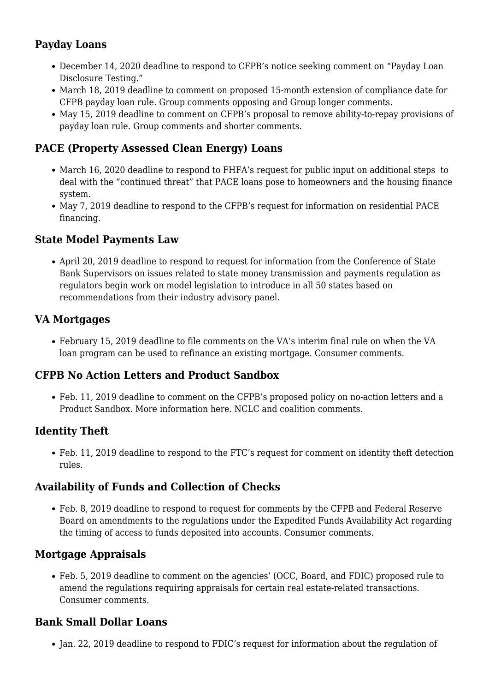# **Payday Loans**

- December 14, 2020 deadline to respond to CFPB's [notice seeking comment](https://www.regulations.gov/document?D=CFPB-2020-0035-0001) on "Payday Loan Disclosure Testing."
- March 18, 2019 deadline to comment on [proposed 15-month extension](https://www.regulations.gov/document?D=CFPB-2019-0007-0001) of compliance date for CFPB payday loan rule. [Group comments opposing](https://www.nclc.org/images/pdf/high_cost_small_loans/payday_loans/coalition-comments-to-cfpb-opposing-proposal-to-delay-compliance-date-mar2019.pdf) and [Group longer comments.](https://www.nclc.org/images/pdf/regulatory_reform/comm-cfpb-payday-compliance-date-delay.pdf)
- May 15, 2019 deadline to comment on CFPB's [proposal to remove ability-to-repay provisions](https://www.regulations.gov/document?D=CFPB-2019-0006-0001) of payday loan rule. [Group comments](https://www.nclc.org/images/pdf/high_cost_small_loans/payday_loans/comments-to-cfpb-opposing-changes-to-payday-rule-may2019.pdf) and [shorter comments.](https://www.nclc.org/images/pdf/high_cost_small_loans/payday_loans/short-comments-to-cfpb-opposing-changes-to-payday-rule-may2019.pdf)

# **PACE (Property Assessed Clean Energy) Loans**

- March 16, 2020 deadline to respond to FHFA's [request for public input](https://www.federalregister.gov/documents/2020/01/16/2020-00655/property-assessed-clean-energy-pace-program) on additional steps to deal with the "continued threat" that PACE loans pose to homeowners and the housing finance system.
- May 7, 2019 deadline to respond to the CFPB's [request for information](https://www.federalregister.gov/documents/2019/03/08/2019-04177/advance-notice-of-proposed-rulemaking-on-residential-property-assessed-clean-energy-financing) on residential PACE financing.

## **State Model Payments Law**

• April 20, 2019 deadline to respond to [request for information](https://www.csbs.org/sites/default/files/2019-02/RFI%20for%20Model%20State%20Payments%20Law.pdf) from the Conference of State Bank Supervisors on issues related to state money transmission and payments regulation as regulators begin work on model legislation to introduce in all 50 states based on [recommendations](https://www.csbs.org/sites/default/files/2019-02/Fintech%20Industry%20Advisory%20Panel%20-%20Payments%20Subgroup%20-%20January%202019%20Recommendations%20%28Final%29.pdf) from their industry advisory panel.

## **VA Mortgages**

February 15, 2019 deadline to file comments on the VA's [interim final rule](https://www.federalregister.gov/documents/2018/12/17/2018-27263/loan-guaranty-revisions-to-va-guaranteed-or-insured-cash-out-home-refinance-loans) on when the VA loan program can be used to refinance an existing mortgage. [Consumer comments](https://www.nclc.org/images//pdf/foreclosure_mortgage/predatory_mortgage_lending/nclc-comments-on-va-home-refinance-loans-feb2019.pdf).

# **CFPB No Action Letters and Product Sandbox**

Feb. 11, 2019 deadline to comment on the CFPB'[s proposed policy](https://www.regulations.gov/document?D=CFPB_FRDOC_0001-0661) on no-action letters and a Product Sandbox. [More information here](https://www.nclc.org/?p=6360). [NCLC](https://www.nclc.org/images/pdf/rulemaking/nclc-comments-nal-product-sandbox.pdf) and [coalition comments.](https://www.nclc.org/images/pdf/rulemaking/coalition-comments-nal-product-sandbox.pdf)

# **Identity Theft**

Feb. 11, 2019 deadline to respond to the FTC's [request for comment](https://www.ftc.gov/news-events/press-releases/2018/12/ftc-seeks-comment-identity-theft-detection-rules?utm_source=govdelivery) on identity theft detection rules.

# **Availability of Funds and Collection of Checks**

• Feb. 8, 2019 deadline to respond to [request for comments](https://www.regulations.gov/document?D=CFPB_FRDOC_0001-0660) by the CFPB and Federal Reserve Board on amendments to the regulations under the Expedited Funds Availability Act regarding the timing of access to funds deposited into accounts. [Consumer comments](https://www.nclc.org/images/pdf/regulatory_reform/comments-efaa-rcc-2019.pdf).

# **Mortgage Appraisals**

Feb. 5, 2019 deadline to comment on the agencies' (OCC, Board, and FDIC) [proposed rule](https://www.regulations.gov/document?D=FDIC-2018-0122-0001) to amend the regulations requiring appraisals for certain real estate-related transactions. [Consumer comments.](https://www.nclc.org/images/pdf/foreclosure_mortgage/mortgage_servicing/real-appraisal-comments-83-fed-reg.pdf)

## **Bank Small Dollar Loans**

• Jan. 22, 2019 deadline to respond to [FDIC's request for information](https://www.regulations.gov/document?D=FDIC-2018-0111-0001) about the regulation of